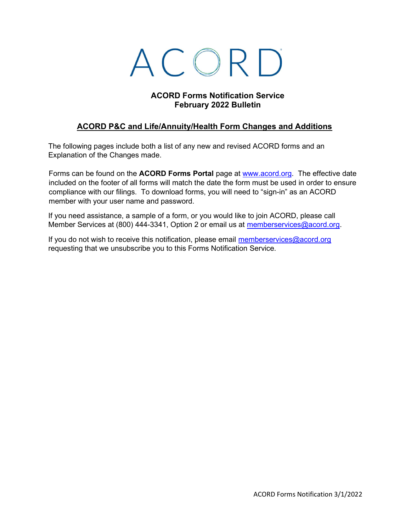# ACORD

#### ACORD Forms Notification Service February 2022 Bulletin

# ACORD P&C and Life/Annuity/Health Form Changes and Additions

The following pages include both a list of any new and revised ACORD forms and an Explanation of the Changes made.

Forms can be found on the ACORD Forms Portal page at www.acord.org. The effective date included on the footer of all forms will match the date the form must be used in order to ensure compliance with our filings. To download forms, you will need to "sign-in" as an ACORD member with your user name and password.

If you need assistance, a sample of a form, or you would like to join ACORD, please call Member Services at (800) 444-3341, Option 2 or email us at memberservices@acord.org.

If you do not wish to receive this notification, please email memberservices $@$ acord.org requesting that we unsubscribe you to this Forms Notification Service.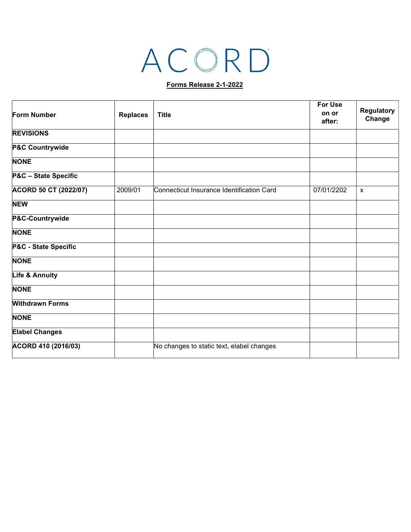# ACORD

#### Forms Release 2-1-2022

| <b>Form Number</b>     | <b>Replaces</b> | <b>Title</b>                              | <b>For Use</b><br>on or<br>after: | Regulatory<br>Change      |
|------------------------|-----------------|-------------------------------------------|-----------------------------------|---------------------------|
|                        |                 |                                           |                                   |                           |
| P&C Countrywide        |                 |                                           |                                   |                           |
| <b>NONE</b>            |                 |                                           |                                   |                           |
| P&C - State Specific   |                 |                                           |                                   |                           |
| ACORD 50 CT (2022/07)  | 2009/01         | Connecticut Insurance Identification Card | 07/01/2202                        | $\boldsymbol{\mathsf{x}}$ |
| <b>NEW</b>             |                 |                                           |                                   |                           |
| P&C-Countrywide        |                 |                                           |                                   |                           |
| <b>NONE</b>            |                 |                                           |                                   |                           |
| P&C - State Specific   |                 |                                           |                                   |                           |
| <b>NONE</b>            |                 |                                           |                                   |                           |
| Life & Annuity         |                 |                                           |                                   |                           |
| <b>NONE</b>            |                 |                                           |                                   |                           |
| <b>Withdrawn Forms</b> |                 |                                           |                                   |                           |
| <b>NONE</b>            |                 |                                           |                                   |                           |
| <b>Elabel Changes</b>  |                 |                                           |                                   |                           |
| ACORD 410 (2016/03)    |                 | No changes to static text, elabel changes |                                   |                           |
|                        |                 |                                           |                                   |                           |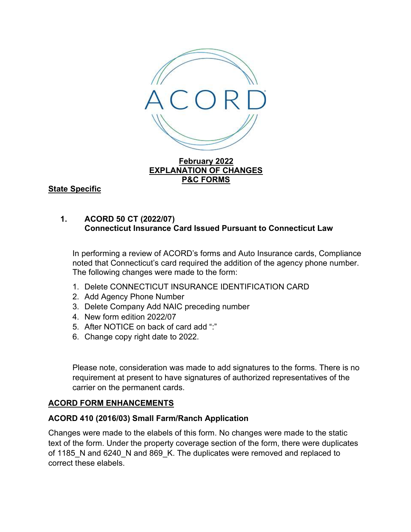

February 2022 EXPLANATION OF CHANGES P&C FORMS

State Specific

# 1. ACORD 50 CT (2022/07) Connecticut Insurance Card Issued Pursuant to Connecticut Law

In performing a review of ACORD's forms and Auto Insurance cards, Compliance noted that Connecticut's card required the addition of the agency phone number. The following changes were made to the form:

- 1. Delete CONNECTICUT INSURANCE IDENTIFICATION CARD
- 2. Add Agency Phone Number
- 3. Delete Company Add NAIC preceding number
- 4. New form edition 2022/07
- 5. After NOTICE on back of card add ":"
- 6. Change copy right date to 2022.

Please note, consideration was made to add signatures to the forms. There is no requirement at present to have signatures of authorized representatives of the carrier on the permanent cards.

# ACORD FORM ENHANCEMENTS

# ACORD 410 (2016/03) Small Farm/Ranch Application

Changes were made to the elabels of this form. No changes were made to the static text of the form. Under the property coverage section of the form, there were duplicates of 1185 N and 6240 N and 869 K. The duplicates were removed and replaced to correct these elabels.